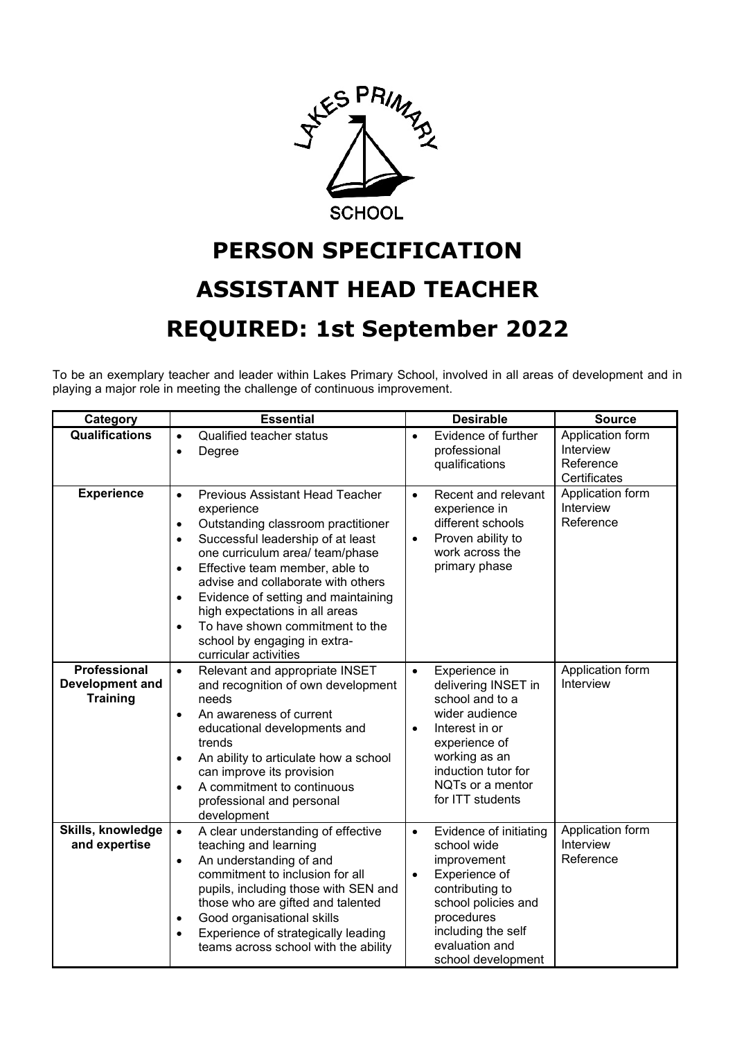

## **PERSON SPECIFICATION ASSISTANT HEAD TEACHER REQUIRED: 1st September 2022**

To be an exemplary teacher and leader within Lakes Primary School, involved in all areas of development and in playing a major role in meeting the challenge of continuous improvement.

| Category                                           | <b>Essential</b>                                                                                                                                                                                                                                                                                                                                                                                                                                                                              | <b>Desirable</b>                                                                                                                                                                                                       | <b>Source</b>                                              |
|----------------------------------------------------|-----------------------------------------------------------------------------------------------------------------------------------------------------------------------------------------------------------------------------------------------------------------------------------------------------------------------------------------------------------------------------------------------------------------------------------------------------------------------------------------------|------------------------------------------------------------------------------------------------------------------------------------------------------------------------------------------------------------------------|------------------------------------------------------------|
| <b>Qualifications</b>                              | <b>Qualified teacher status</b><br>$\bullet$<br>Degree<br>$\bullet$                                                                                                                                                                                                                                                                                                                                                                                                                           | Evidence of further<br>$\bullet$<br>professional<br>qualifications                                                                                                                                                     | Application form<br>Interview<br>Reference<br>Certificates |
| <b>Experience</b>                                  | <b>Previous Assistant Head Teacher</b><br>$\bullet$<br>experience<br>Outstanding classroom practitioner<br>$\bullet$<br>Successful leadership of at least<br>$\bullet$<br>one curriculum area/ team/phase<br>Effective team member, able to<br>$\bullet$<br>advise and collaborate with others<br>Evidence of setting and maintaining<br>$\bullet$<br>high expectations in all areas<br>To have shown commitment to the<br>$\bullet$<br>school by engaging in extra-<br>curricular activities | Recent and relevant<br>$\bullet$<br>experience in<br>different schools<br>Proven ability to<br>$\bullet$<br>work across the<br>primary phase                                                                           | Application form<br>Interview<br>Reference                 |
| Professional<br>Development and<br><b>Training</b> | Relevant and appropriate INSET<br>$\bullet$<br>and recognition of own development<br>needs<br>An awareness of current<br>$\bullet$<br>educational developments and<br>trends<br>An ability to articulate how a school<br>٠<br>can improve its provision<br>A commitment to continuous<br>$\bullet$<br>professional and personal<br>development                                                                                                                                                | Experience in<br>$\bullet$<br>delivering INSET in<br>school and to a<br>wider audience<br>Interest in or<br>$\bullet$<br>experience of<br>working as an<br>induction tutor for<br>NQTs or a mentor<br>for ITT students | Application form<br>Interview                              |
| Skills, knowledge<br>and expertise                 | A clear understanding of effective<br>$\bullet$<br>teaching and learning<br>An understanding of and<br>$\bullet$<br>commitment to inclusion for all<br>pupils, including those with SEN and<br>those who are gifted and talented<br>Good organisational skills<br>$\bullet$<br>Experience of strategically leading<br>$\bullet$<br>teams across school with the ability                                                                                                                       | Evidence of initiating<br>$\bullet$<br>school wide<br>improvement<br>Experience of<br>$\bullet$<br>contributing to<br>school policies and<br>procedures<br>including the self<br>evaluation and<br>school development  | Application form<br>Interview<br>Reference                 |